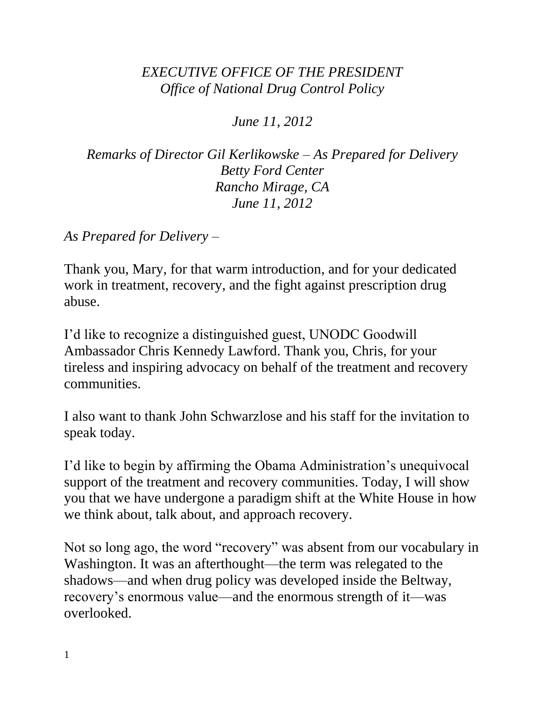## *EXECUTIVE OFFICE OF THE PRESIDENT Office of National Drug Control Policy*

*June 11, 2012*

*Remarks of Director Gil Kerlikowske – As Prepared for Delivery Betty Ford Center Rancho Mirage, CA June 11, 2012*

*As Prepared for Delivery –*

Thank you, Mary, for that warm introduction, and for your dedicated work in treatment, recovery, and the fight against prescription drug abuse.

I'd like to recognize a distinguished guest, UNODC Goodwill Ambassador Chris Kennedy Lawford. Thank you, Chris, for your tireless and inspiring advocacy on behalf of the treatment and recovery communities.

I also want to thank John Schwarzlose and his staff for the invitation to speak today.

I'd like to begin by affirming the Obama Administration's unequivocal support of the treatment and recovery communities. Today, I will show you that we have undergone a paradigm shift at the White House in how we think about, talk about, and approach recovery.

Not so long ago, the word "recovery" was absent from our vocabulary in Washington. It was an afterthought—the term was relegated to the shadows—and when drug policy was developed inside the Beltway, recovery's enormous value—and the enormous strength of it—was overlooked.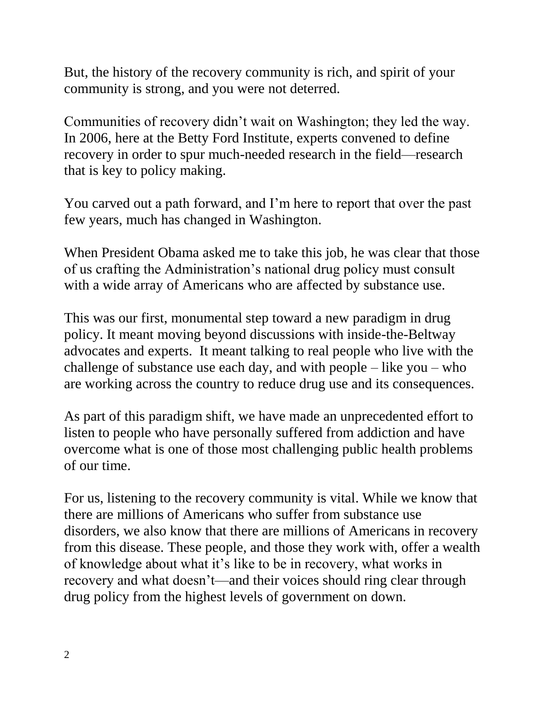But, the history of the recovery community is rich, and spirit of your community is strong, and you were not deterred.

Communities of recovery didn't wait on Washington; they led the way. In 2006, here at the Betty Ford Institute, experts convened to define recovery in order to spur much-needed research in the field—research that is key to policy making.

You carved out a path forward, and I'm here to report that over the past few years, much has changed in Washington.

When President Obama asked me to take this job, he was clear that those of us crafting the Administration's national drug policy must consult with a wide array of Americans who are affected by substance use.

This was our first, monumental step toward a new paradigm in drug policy. It meant moving beyond discussions with inside-the-Beltway advocates and experts. It meant talking to real people who live with the challenge of substance use each day, and with people  $-$  like you  $-$  who are working across the country to reduce drug use and its consequences.

As part of this paradigm shift, we have made an unprecedented effort to listen to people who have personally suffered from addiction and have overcome what is one of those most challenging public health problems of our time.

For us, listening to the recovery community is vital. While we know that there are millions of Americans who suffer from substance use disorders, we also know that there are millions of Americans in recovery from this disease. These people, and those they work with, offer a wealth of knowledge about what it's like to be in recovery, what works in recovery and what doesn't—and their voices should ring clear through drug policy from the highest levels of government on down.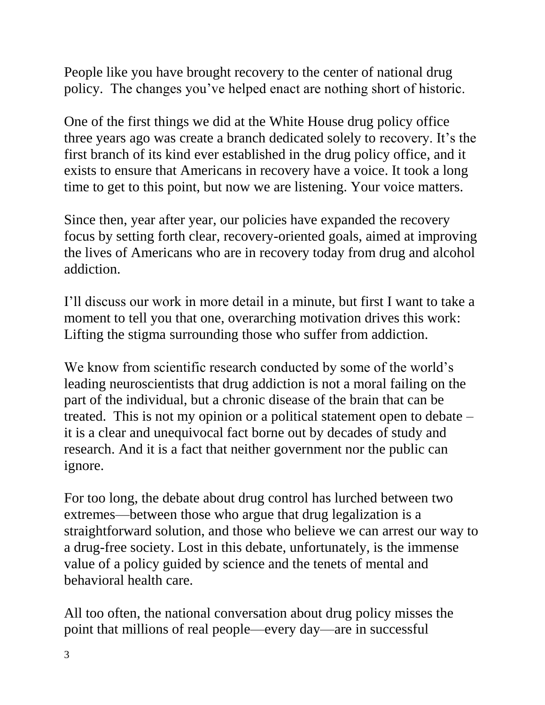People like you have brought recovery to the center of national drug policy. The changes you've helped enact are nothing short of historic.

One of the first things we did at the White House drug policy office three years ago was create a branch dedicated solely to recovery. It's the first branch of its kind ever established in the drug policy office, and it exists to ensure that Americans in recovery have a voice. It took a long time to get to this point, but now we are listening. Your voice matters.

Since then, year after year, our policies have expanded the recovery focus by setting forth clear, recovery-oriented goals, aimed at improving the lives of Americans who are in recovery today from drug and alcohol addiction.

I'll discuss our work in more detail in a minute, but first I want to take a moment to tell you that one, overarching motivation drives this work: Lifting the stigma surrounding those who suffer from addiction.

We know from scientific research conducted by some of the world's leading neuroscientists that drug addiction is not a moral failing on the part of the individual, but a chronic disease of the brain that can be treated. This is not my opinion or a political statement open to debate – it is a clear and unequivocal fact borne out by decades of study and research. And it is a fact that neither government nor the public can ignore.

For too long, the debate about drug control has lurched between two extremes—between those who argue that drug legalization is a straightforward solution, and those who believe we can arrest our way to a drug-free society. Lost in this debate, unfortunately, is the immense value of a policy guided by science and the tenets of mental and behavioral health care.

All too often, the national conversation about drug policy misses the point that millions of real people—every day—are in successful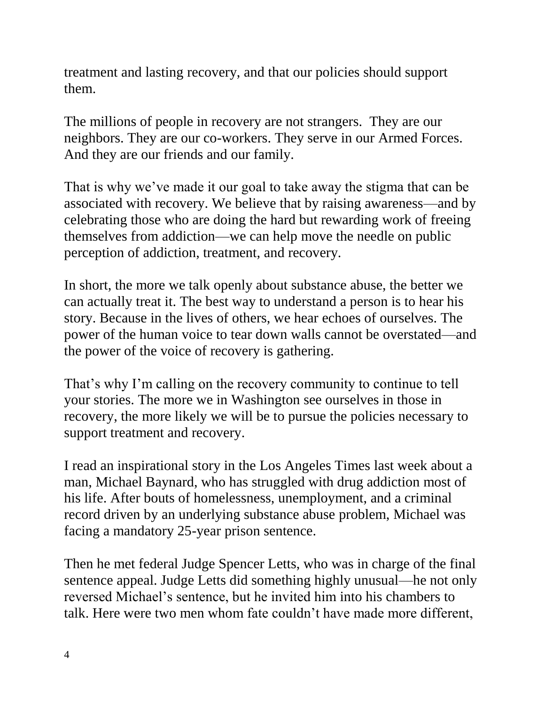treatment and lasting recovery, and that our policies should support them.

The millions of people in recovery are not strangers. They are our neighbors. They are our co-workers. They serve in our Armed Forces. And they are our friends and our family.

That is why we've made it our goal to take away the stigma that can be associated with recovery. We believe that by raising awareness—and by celebrating those who are doing the hard but rewarding work of freeing themselves from addiction—we can help move the needle on public perception of addiction, treatment, and recovery.

In short, the more we talk openly about substance abuse, the better we can actually treat it. The best way to understand a person is to hear his story. Because in the lives of others, we hear echoes of ourselves. The power of the human voice to tear down walls cannot be overstated—and the power of the voice of recovery is gathering.

That's why I'm calling on the recovery community to continue to tell your stories. The more we in Washington see ourselves in those in recovery, the more likely we will be to pursue the policies necessary to support treatment and recovery.

I read an inspirational story in the Los Angeles Times last week about a man, Michael Baynard, who has struggled with drug addiction most of his life. After bouts of homelessness, unemployment, and a criminal record driven by an underlying substance abuse problem, Michael was facing a mandatory 25-year prison sentence.

Then he met federal Judge Spencer Letts, who was in charge of the final sentence appeal. Judge Letts did something highly unusual—he not only reversed Michael's sentence, but he invited him into his chambers to talk. Here were two men whom fate couldn't have made more different,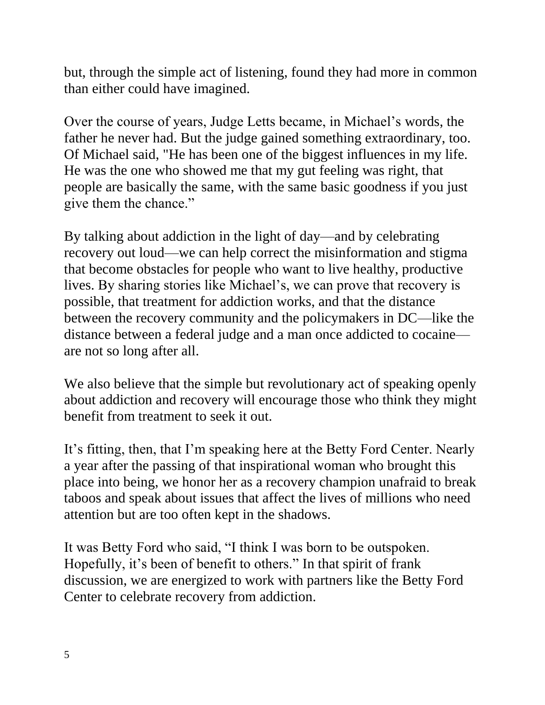but, through the simple act of listening, found they had more in common than either could have imagined.

Over the course of years, Judge Letts became, in Michael's words, the father he never had. But the judge gained something extraordinary, too. Of Michael said, "He has been one of the biggest influences in my life. He was the one who showed me that my gut feeling was right, that people are basically the same, with the same basic goodness if you just give them the chance."

By talking about addiction in the light of day—and by celebrating recovery out loud—we can help correct the misinformation and stigma that become obstacles for people who want to live healthy, productive lives. By sharing stories like Michael's, we can prove that recovery is possible, that treatment for addiction works, and that the distance between the recovery community and the policymakers in DC—like the distance between a federal judge and a man once addicted to cocaine are not so long after all.

We also believe that the simple but revolutionary act of speaking openly about addiction and recovery will encourage those who think they might benefit from treatment to seek it out.

It's fitting, then, that I'm speaking here at the Betty Ford Center. Nearly a year after the passing of that inspirational woman who brought this place into being, we honor her as a recovery champion unafraid to break taboos and speak about issues that affect the lives of millions who need attention but are too often kept in the shadows.

It was Betty Ford who said, "I think I was born to be outspoken. Hopefully, it's been of benefit to others." In that spirit of frank discussion, we are energized to work with partners like the Betty Ford Center to celebrate recovery from addiction.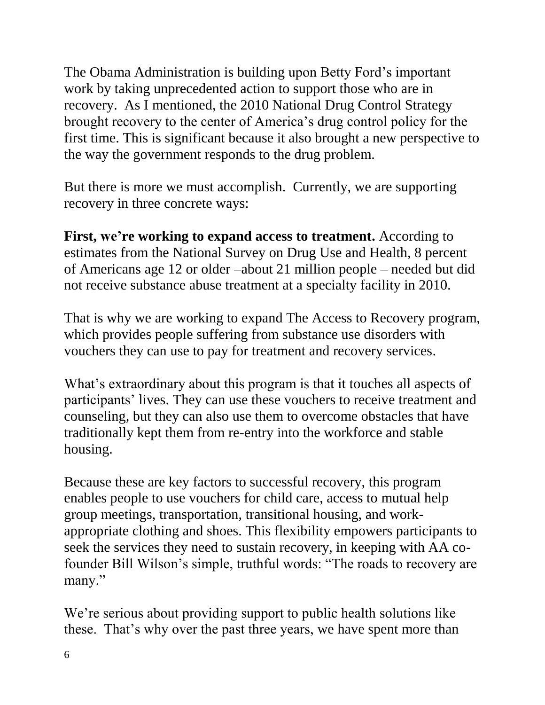The Obama Administration is building upon Betty Ford's important work by taking unprecedented action to support those who are in recovery. As I mentioned, the 2010 National Drug Control Strategy brought recovery to the center of America's drug control policy for the first time. This is significant because it also brought a new perspective to the way the government responds to the drug problem.

But there is more we must accomplish. Currently, we are supporting recovery in three concrete ways:

First, we're working to expand access to treatment. According to estimates from the National Survey on Drug Use and Health, 8 percent of Americans age 12 or older –about 21 million people – needed but did not receive substance abuse treatment at a specialty facility in 2010.

That is why we are working to expand The Access to Recovery program, which provides people suffering from substance use disorders with vouchers they can use to pay for treatment and recovery services.

What's extraordinary about this program is that it touches all aspects of participants' lives. They can use these vouchers to receive treatment and counseling, but they can also use them to overcome obstacles that have traditionally kept them from re-entry into the workforce and stable housing.

Because these are key factors to successful recovery, this program enables people to use vouchers for child care, access to mutual help group meetings, transportation, transitional housing, and workappropriate clothing and shoes. This flexibility empowers participants to seek the services they need to sustain recovery, in keeping with AA cofounder Bill Wilson's simple, truthful words: "The roads to recovery are many."

We're serious about providing support to public health solutions like these. That's why over the past three years, we have spent more than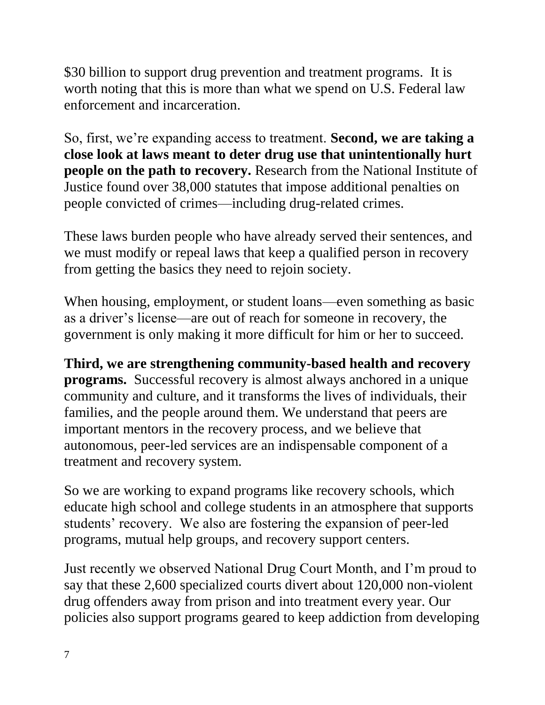\$30 billion to support drug prevention and treatment programs. It is worth noting that this is more than what we spend on U.S. Federal law enforcement and incarceration.

So, first, we're expanding access to treatment. **Second, we are taking a close look at laws meant to deter drug use that unintentionally hurt people on the path to recovery.** Research from the National Institute of Justice found over 38,000 statutes that impose additional penalties on people convicted of crimes—including drug-related crimes.

These laws burden people who have already served their sentences, and we must modify or repeal laws that keep a qualified person in recovery from getting the basics they need to rejoin society.

When housing, employment, or student loans—even something as basic as a driver's license—are out of reach for someone in recovery, the government is only making it more difficult for him or her to succeed.

**Third, we are strengthening community-based health and recovery programs.** Successful recovery is almost always anchored in a unique community and culture, and it transforms the lives of individuals, their families, and the people around them. We understand that peers are important mentors in the recovery process, and we believe that autonomous, peer-led services are an indispensable component of a treatment and recovery system.

So we are working to expand programs like recovery schools, which educate high school and college students in an atmosphere that supports students' recovery. We also are fostering the expansion of peer-led programs, mutual help groups, and recovery support centers.

Just recently we observed National Drug Court Month, and I'm proud to say that these 2,600 specialized courts divert about 120,000 non-violent drug offenders away from prison and into treatment every year. Our policies also support programs geared to keep addiction from developing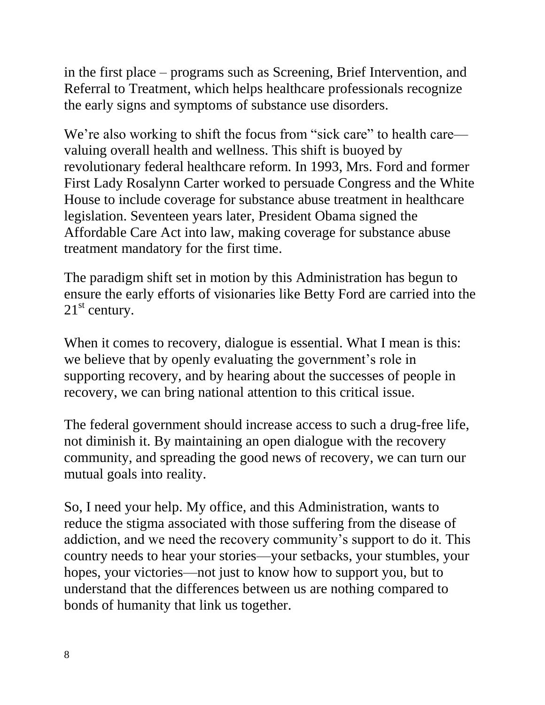in the first place – programs such as Screening, Brief Intervention, and Referral to Treatment, which helps healthcare professionals recognize the early signs and symptoms of substance use disorders.

We're also working to shift the focus from "sick care" to health care valuing overall health and wellness. This shift is buoyed by revolutionary federal healthcare reform. In 1993, Mrs. Ford and former First Lady Rosalynn Carter worked to persuade Congress and the White House to include coverage for substance abuse treatment in healthcare legislation. Seventeen years later, President Obama signed the Affordable Care Act into law, making coverage for substance abuse treatment mandatory for the first time.

The paradigm shift set in motion by this Administration has begun to ensure the early efforts of visionaries like Betty Ford are carried into the  $21<sup>st</sup>$  century.

When it comes to recovery, dialogue is essential. What I mean is this: we believe that by openly evaluating the government's role in supporting recovery, and by hearing about the successes of people in recovery, we can bring national attention to this critical issue.

The federal government should increase access to such a drug-free life, not diminish it. By maintaining an open dialogue with the recovery community, and spreading the good news of recovery, we can turn our mutual goals into reality.

So, I need your help. My office, and this Administration, wants to reduce the stigma associated with those suffering from the disease of addiction, and we need the recovery community's support to do it. This country needs to hear your stories—your setbacks, your stumbles, your hopes, your victories—not just to know how to support you, but to understand that the differences between us are nothing compared to bonds of humanity that link us together.